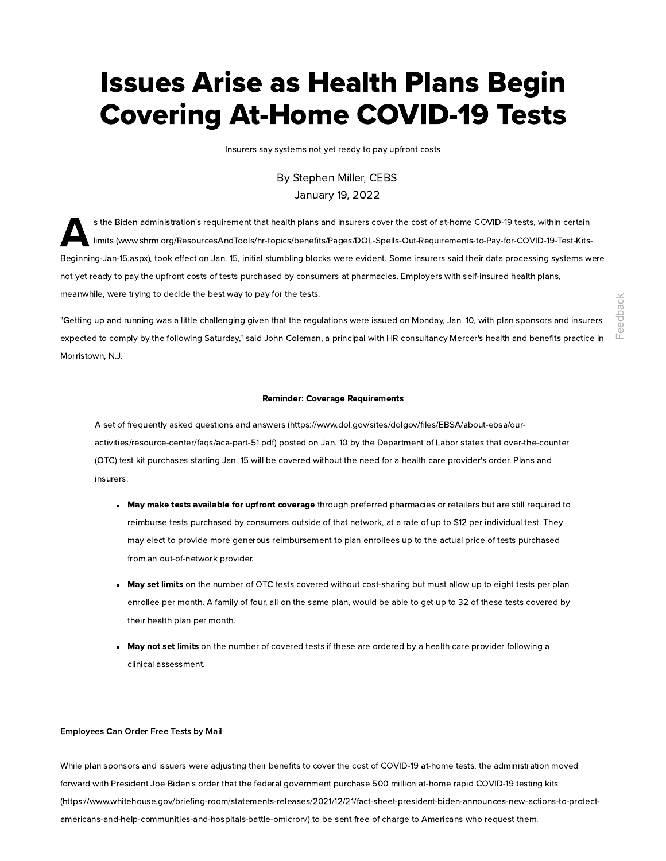# Issues Arise as Health Plans Begin Covering At-Home COVID-19 Tests

Insurers say systems not yet ready to pay upfront costs

# By [Stephen](https://edit.shrm.org/authors/Pages/Steve-Miller.aspx) Miller, CEBS January 19, 2022

 $\mathbf{A}^{s}$ s the Biden administration's requirement that health plans and insurers cover the cost of at-home COVID-19 tests, within certain limits [\(www.shrm.org/ResourcesAndTools/hr-topics/benefits/Pages/DOL-Spells-Out-Requirements-to-Pay-for-COVID-19-Test-Kits-](https://www.shrm.org/ResourcesAndTools/hr-topics/benefits/Pages/DOL-Spells-Out-Requirements-to-Pay-for-COVID-19-Test-Kits-Beginning-Jan-15.aspx)Beginning-Jan-15.aspx), took effect on Jan. 15, initial stumbling blocks were evident. Some insurers said their data processing systems were not yet ready to pay the upfront costs of tests purchased by consumers at pharmacies. Employers with self-insured health plans, meanwhile, were trying to decide the best way to pay for the tests.

"Getting up and running was a little challenging given that the regulations were issued on Monday, Jan. 10, with plan sponsors and insurers expected to comply by the following Saturday," said John Coleman, a principal with HR consultancy Mercer's health and benefits practice in Morristown, N.J.

#### Reminder: Coverage Requirements

A set of frequently asked questions and answers [\(https://www.dol.gov/sites/dolgov/files/EBSA/about-ebsa/our](https://www.dol.gov/sites/dolgov/files/EBSA/about-ebsa/our-activities/resource-center/faqs/aca-part-51.pdf)activities/resource-center/faqs/aca-part-51.pdf) posted on Jan. 10 by the Department of Labor states that over-the-counter (OTC) test kit purchases starting Jan. 15 will be covered without the need for a health care provider's order. Plans and insurers:

- May make tests available for upfront coverage through preferred pharmacies or retailers but are still required to reimburse tests purchased by consumers outside of that network, at a rate of up to \$12 per individual test. They may elect to provide more generous reimbursement to plan enrollees up to the actual price of tests purchased from an out-of-network provider.
- May set limits on the number of OTC tests covered without cost-sharing but must allow up to eight tests per plan enrollee per month. A family of four, all on the same plan, would be able to get up to 32 of these tests covered by their health plan per month.
- May not set limits on the number of covered tests if these are ordered by a health care provider following a clinical assessment.

## Employees Can Order Free Tests by Mail

While plan sponsors and issuers were adjusting their benefits to cover the cost of COVID-19 at-home tests, the administration moved forward with President Joe Biden's order that the federal government purchase 500 million at-home rapid COVID-19 testing kits [\(https://www.whitehouse.gov/briefing-room/statements-releases/2021/12/21/fact-sheet-president-biden-announces-new-actions-to-protect](https://www.whitehouse.gov/briefing-room/statements-releases/2021/12/21/fact-sheet-president-biden-announces-new-actions-to-protect-americans-and-help-communities-and-hospitals-battle-omicron/)are the communities and the communities and the communities and the communities-and-hospitals-omicron-properties-and-hospitals-oriented and the communities-<br>appeled to complete the following Standary and John Coleman a pri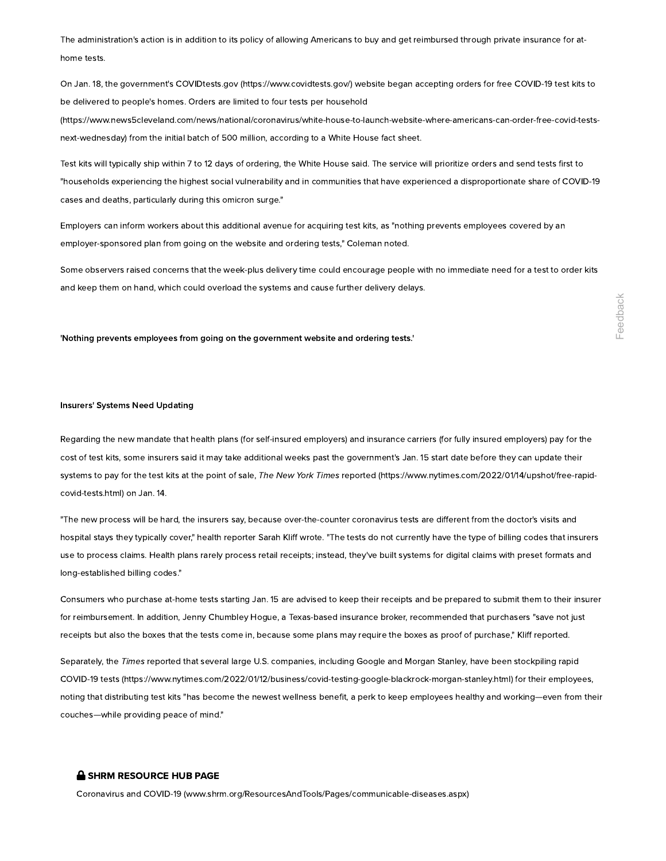The administration's action is in addition to its policy of allowing Americans to buy and get reimbursed through private insurance for athome tests.

On Jan. 18, the government's COVIDtests.gov [\(https://www.covidtests.gov/\)](https://www.covidtests.gov/) website began accepting orders for free COVID-19 test kits to be delivered to people's homes. Orders are limited to four tests per household

[\(https://www.news5cleveland.com/news/national/coronavirus/white-house-to-launch-website-where-americans-can-order-free-covid-tests](https://www.news5cleveland.com/news/national/coronavirus/white-house-to-launch-website-where-americans-can-order-free-covid-tests-next-wednesday)next-wednesday) from the initial batch of 500 million, according to a White House fact sheet.

Test kits will typically ship within 7 to 12 days of ordering, the White House said. The service will prioritize orders and send tests first to "households experiencing the highest social vulnerability and in communities that have experienced a disproportionate share of COVID-19 cases and deaths, particularly during this omicron surge."

Employers can inform workers about this additional avenue for acquiring test kits, as "nothing prevents employees covered by an employer-sponsored plan from going on the website and ordering tests," Coleman noted.

Some observers raised concerns that the week-plus delivery time could encourage people with no immediate need for a test to order kits and keep them on hand, which could overload the systems and cause further delivery delays.

#### 'Nothing prevents employees from going on the government website and ordering tests.'

## Insurers' Systems Need Updating

Regarding the new mandate that health plans (for self-insured employers) and insurance carriers (for fully insured employers) pay for the cost of test kits, some insurers said it may take additional weeks past the government's Jan. 15 start date before they can update their systems to pay for the test kits at the point of sale, The New York Times reported [\(https://www.nytimes.com/2022/01/14/upshot/free-rapid](https://www.nytimes.com/2022/01/14/upshot/free-rapid-covid-tests.html)covid-tests.html) on Jan. 14. Thing prevents employees from going on the government website and ordering tests.<br>
Corrections Need Updating<br>
The "Systems Need Updating<br>
on the "Systems Need Updating<br>
on the State State Constitute And Total (Washinand em

"The new process will be hard, the insurers say, because over-the-counter coronavirus tests are different from the doctor's visits and hospital stays they typically cover," health reporter Sarah Kliff wrote. "The tests do not currently have the type of billing codes that insurers use to process claims. Health plans rarely process retail receipts; instead, they've built systems for digital claims with preset formats and long-established billing codes."

Consumers who purchase at-home tests starting Jan. 15 are advised to keep their receipts and be prepared to submit them to their insurer for reimbursement. In addition, Jenny Chumbley Hogue, a Texas-based insurance broker, recommended that purchasers "save not just receipts but also the boxes that the tests come in, because some plans may require the boxes as proof of purchase," Kliff reported.

Separately, the Times reported that several large U.S. companies, including Google and Morgan Stanley, have been stockpiling rapid COVID-19 tests [\(https://www.nytimes.com/2022/01/12/business/covid-testing-google-blackrock-morgan-stanley.html\)](https://www.nytimes.com/2022/01/12/business/covid-testing-google-blackrock-morgan-stanley.html) for their employees, noting that distributing test kits "has become the newest wellness benefit, a perk to keep employees healthy and working—even from their couches—while providing peace of mind."

# **SHRM RESOURCE HUB PAGE**